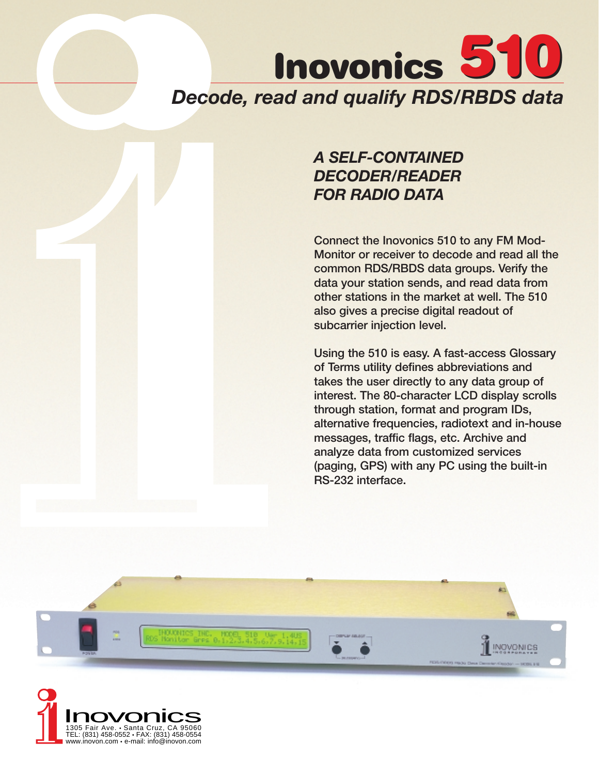# **Inovonics 510** *Decode, read and qualify RDS/RBDS data*

# *A SELF-CONTAINED DECODER/READER FOR RADIO DATA*

**Connect the Inovonics 510 to any FM Mod-Monitor or receiver to decode and read all the common RDS/RBDS data groups. Verify the data your station sends, and read data from other stations in the market at well. The 510 also gives a precise digital readout of subcarrier injection level.** 

**Using the 510 is easy. A fast-access Glossary of Terms utility defines abbreviations and takes the user directly to any data group of interest. The 80-character LCD display scrolls through station, format and program IDs, alternative frequencies, radiotext and in-house messages, traffic flags, etc. Archive and analyze data from customized services (paging, GPS) with any PC using the built-in RS-232 interface.**